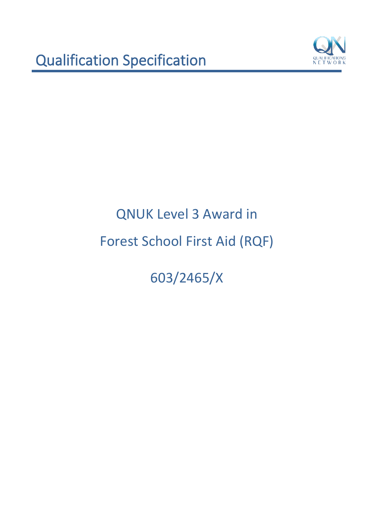

603/2465/X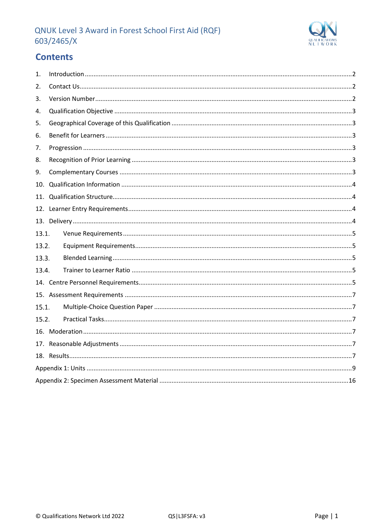

# **Contents**

| $\mathbf{1}$ . |  |
|----------------|--|
| 2.             |  |
| 3.             |  |
| 4.             |  |
| 5.             |  |
| 6.             |  |
| 7.             |  |
| 8.             |  |
| 9.             |  |
| 10.            |  |
| 11.            |  |
|                |  |
|                |  |
| 13.1.          |  |
| 13.2.          |  |
| 13.3.          |  |
| 13.4.          |  |
|                |  |
|                |  |
| 15.1.          |  |
| 15.2.          |  |
|                |  |
|                |  |
|                |  |
|                |  |
|                |  |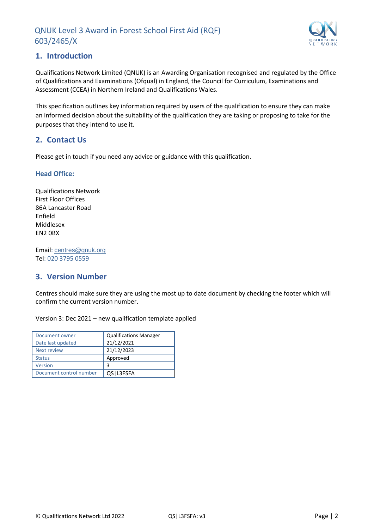

## <span id="page-2-0"></span>**1. Introduction**

Qualifications Network Limited (QNUK) is an Awarding Organisation recognised and regulated by the Office of Qualifications and Examinations (Ofqual) in England, the Council for Curriculum, Examinations and Assessment (CCEA) in Northern Ireland and Qualifications Wales.

This specification outlines key information required by users of the qualification to ensure they can make an informed decision about the suitability of the qualification they are taking or proposing to take for the purposes that they intend to use it.

## <span id="page-2-1"></span>**2. Contact Us**

Please get in touch if you need any advice or guidance with this qualification.

#### **Head Office:**

Qualifications Network First Floor Offices 86A Lancaster Road Enfield Middlesex EN2 0BX

Email: [centres@qnuk.org](mailto:CentreSupport@Qualifications-Network.co.uk) Tel: 020 3795 0559

## <span id="page-2-2"></span>**3. Version Number**

Centres should make sure they are using the most up to date document by checking the footer which will confirm the current version number.

Version 3: Dec 2021 – new qualification template applied

| Document owner          | <b>Qualifications Manager</b> |
|-------------------------|-------------------------------|
| Date last updated       | 21/12/2021                    |
| <b>Next review</b>      | 21/12/2023                    |
| <b>Status</b>           | Approved                      |
| Version                 | 3                             |
| Document control number | QS   L3FSFA                   |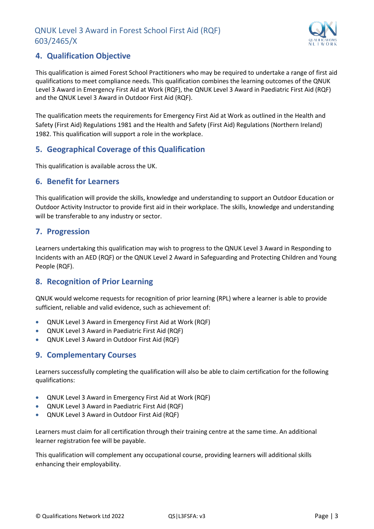

## <span id="page-3-0"></span>**4. Qualification Objective**

This qualification is aimed Forest School Practitioners who may be required to undertake a range of first aid qualifications to meet compliance needs. This qualification combines the learning outcomes of the QNUK Level 3 Award in Emergency First Aid at Work (RQF), the QNUK Level 3 Award in Paediatric First Aid (RQF) and the QNUK Level 3 Award in Outdoor First Aid (RQF).

The qualification meets the requirements for Emergency First Aid at Work as outlined in the Health and Safety (First Aid) Regulations 1981 and the Health and Safety (First Aid) Regulations (Northern Ireland) 1982. This qualification will support a role in the workplace.

## <span id="page-3-1"></span>**5. Geographical Coverage of this Qualification**

This qualification is available across the UK.

#### <span id="page-3-2"></span>**6. Benefit for Learners**

This qualification will provide the skills, knowledge and understanding to support an Outdoor Education or Outdoor Activity Instructor to provide first aid in their workplace. The skills, knowledge and understanding will be transferable to any industry or sector.

#### <span id="page-3-3"></span>**7. Progression**

Learners undertaking this qualification may wish to progress to the QNUK Level 3 Award in Responding to Incidents with an AED (RQF) or the QNUK Level 2 Award in Safeguarding and Protecting Children and Young People (RQF).

## <span id="page-3-4"></span>**8. Recognition of Prior Learning**

QNUK would welcome requests for recognition of prior learning (RPL) where a learner is able to provide sufficient, reliable and valid evidence, such as achievement of:

- QNUK Level 3 Award in Emergency First Aid at Work (RQF)
- QNUK Level 3 Award in Paediatric First Aid (RQF)
- QNUK Level 3 Award in Outdoor First Aid (RQF)

## <span id="page-3-5"></span>**9. Complementary Courses**

Learners successfully completing the qualification will also be able to claim certification for the following qualifications:

- QNUK Level 3 Award in Emergency First Aid at Work (RQF)
- QNUK Level 3 Award in Paediatric First Aid (RQF)
- QNUK Level 3 Award in Outdoor First Aid (RQF)

Learners must claim for all certification through their training centre at the same time. An additional learner registration fee will be payable.

This qualification will complement any occupational course, providing learners will additional skills enhancing their employability.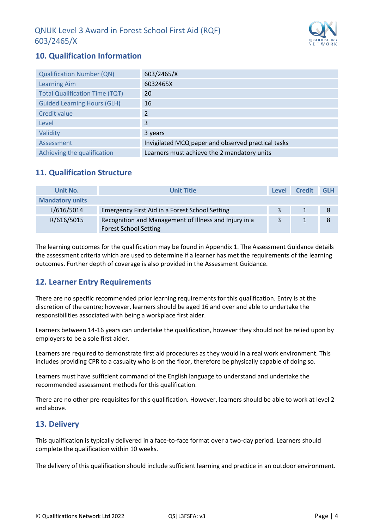

# <span id="page-4-0"></span>**10. Qualification Information**

| <b>Qualification Number (QN)</b>      | 603/2465/X                                         |
|---------------------------------------|----------------------------------------------------|
| <b>Learning Aim</b>                   | 6032465X                                           |
| <b>Total Qualification Time (TQT)</b> | 20                                                 |
| <b>Guided Learning Hours (GLH)</b>    | 16                                                 |
| <b>Credit value</b>                   | $\overline{\mathcal{L}}$                           |
| Level                                 | 3                                                  |
| Validity                              | 3 years                                            |
| Assessment                            | Invigilated MCQ paper and observed practical tasks |
| Achieving the qualification           | Learners must achieve the 2 mandatory units        |

## <span id="page-4-1"></span>**11. Qualification Structure**

| Unit No.               | <b>Unit Title</b>                                                                     | Level | <b>Credit</b> | <b>GLH</b> |
|------------------------|---------------------------------------------------------------------------------------|-------|---------------|------------|
| <b>Mandatory units</b> |                                                                                       |       |               |            |
| L/616/5014             | Emergency First Aid in a Forest School Setting                                        | 3     |               |            |
| R/616/5015             | Recognition and Management of Illness and Injury in a<br><b>Forest School Setting</b> | 3     |               |            |

The learning outcomes for the qualification may be found in Appendix 1. The Assessment Guidance details the assessment criteria which are used to determine if a learner has met the requirements of the learning outcomes. Further depth of coverage is also provided in the Assessment Guidance.

## <span id="page-4-2"></span>**12. Learner Entry Requirements**

There are no specific recommended prior learning requirements for this qualification. Entry is at the discretion of the centre; however, learners should be aged 16 and over and able to undertake the responsibilities associated with being a workplace first aider.

Learners between 14-16 years can undertake the qualification, however they should not be relied upon by employers to be a sole first aider.

Learners are required to demonstrate first aid procedures as they would in a real work environment. This includes providing CPR to a casualty who is on the floor, therefore be physically capable of doing so.

Learners must have sufficient command of the English language to understand and undertake the recommended assessment methods for this qualification.

There are no other pre-requisites for this qualification. However, learners should be able to work at level 2 and above.

## <span id="page-4-3"></span>**13. Delivery**

This qualification is typically delivered in a face-to-face format over a two-day period. Learners should complete the qualification within 10 weeks.

The delivery of this qualification should include sufficient learning and practice in an outdoor environment.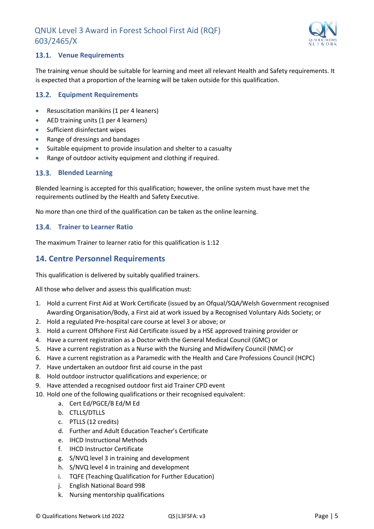

#### <span id="page-5-0"></span>**Venue Requirements**

The training venue should be suitable for learning and meet all relevant Health and Safety requirements. It is expected that a proportion of the learning will be taken outside for this qualification.

#### <span id="page-5-1"></span>**Equipment Requirements**

- Resuscitation manikins (1 per 4 leaners)
- AED training units (1 per 4 learners)
- Sufficient disinfectant wipes
- Range of dressings and bandages
- Suitable equipment to provide insulation and shelter to a casualty
- Range of outdoor activity equipment and clothing if required.

#### <span id="page-5-2"></span>**Blended Learning**

Blended learning is accepted for this qualification; however, the online system must have met the requirements outlined by the Health and Safety Executive.

No more than one third of the qualification can be taken as the online learning.

#### <span id="page-5-3"></span>**Trainer to Learner Ratio**

The maximum Trainer to learner ratio for this qualification is 1:12

#### <span id="page-5-4"></span>**14. Centre Personnel Requirements**

This qualification is delivered by suitably qualified trainers.

All those who deliver and assess this qualification must:

- 1. Hold a current First Aid at Work Certificate (issued by an Ofqual/SQA/Welsh Government recognised Awarding Organisation/Body, a First aid at work issued by a Recognised Voluntary Aids Society; or
- 2. Hold a regulated Pre-hospital care course at level 3 or above; or
- 3. Hold a current Offshore First Aid Certificate issued by a HSE approved training provider or
- 4. Have a current registration as a Doctor with the General Medical Council (GMC) or
- 5. Have a current registration as a Nurse with the Nursing and Midwifery Council (NMC) or
- 6. Have a current registration as a Paramedic with the Health and Care Professions Council (HCPC)
- 7. Have undertaken an outdoor first aid course in the past
- 8. Hold outdoor instructor qualifications and experience; or
- 9. Have attended a recognised outdoor first aid Trainer CPD event
- 10. Hold one of the following qualifications or their recognised equivalent:
	- a. Cert Ed/PGCE/B Ed/M Ed
	- b. CTLLS/DTLLS
	- c. PTLLS (12 credits)
	- d. Further and Adult Education Teacher's Certificate
	- e. IHCD Instructional Methods
	- f. IHCD Instructor Certificate
	- g. S/NVQ level 3 in training and development
	- h. S/NVQ level 4 in training and development
	- i. TQFE (Teaching Qualification for Further Education)
	- j. English National Board 998
	- k. Nursing mentorship qualifications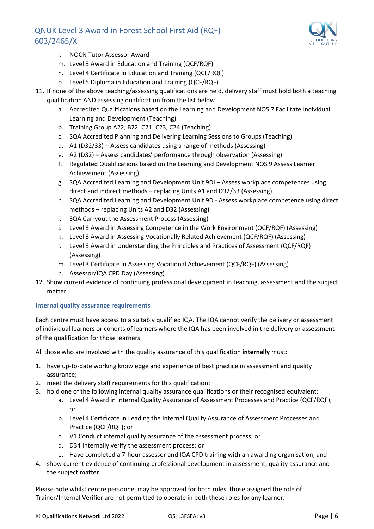

- l. NOCN Tutor Assessor Award
- m. Level 3 Award in Education and Training (QCF/RQF)
- n. Level 4 Certificate in Education and Training (QCF/RQF)
- o. Level 5 Diploma in Education and Training (QCF/RQF)
- 11. If none of the above teaching/assessing qualifications are held, delivery staff must hold both a teaching qualification AND assessing qualification from the list below
	- a. Accredited Qualifications based on the Learning and Development NOS 7 Facilitate Individual Learning and Development (Teaching)
	- b. Training Group A22, B22, C21, C23, C24 (Teaching)
	- c. SQA Accredited Planning and Delivering Learning Sessions to Groups (Teaching)
	- d. A1 (D32/33) Assess candidates using a range of methods (Assessing)
	- e. A2 (D32) Assess candidates' performance through observation (Assessing)
	- f. Regulated Qualifications based on the Learning and Development NOS 9 Assess Learner Achievement (Assessing)
	- g. SQA Accredited Learning and Development Unit 9DI Assess workplace competences using direct and indirect methods – replacing Units A1 and D32/33 (Assessing)
	- h. SQA Accredited Learning and Development Unit 9D Assess workplace competence using direct methods – replacing Units A2 and D32 (Assessing)
	- i. SQA Carryout the Assessment Process (Assessing)
	- j. Level 3 Award in Assessing Competence in the Work Environment (QCF/RQF) (Assessing)
	- k. Level 3 Award in Assessing Vocationally Related Achievement (QCF/RQF) (Assessing)
	- l. Level 3 Award in Understanding the Principles and Practices of Assessment (QCF/RQF) (Assessing)
	- m. Level 3 Certificate in Assessing Vocational Achievement (QCF/RQF) (Assessing)
	- n. Assessor/IQA CPD Day (Assessing)
- 12. Show current evidence of continuing professional development in teaching, assessment and the subject matter.

#### **Internal quality assurance requirements**

Each centre must have access to a suitably qualified IQA. The IQA cannot verify the delivery or assessment of individual learners or cohorts of learners where the IQA has been involved in the delivery or assessment of the qualification for those learners.

All those who are involved with the quality assurance of this qualification **internally** must:

- 1. have up-to-date working knowledge and experience of best practice in assessment and quality assurance;
- 2. meet the delivery staff requirements for this qualification:
- 3. hold one of the following internal quality assurance qualifications or their recognised equivalent:
	- a. Level 4 Award in Internal Quality Assurance of Assessment Processes and Practice (QCF/RQF); or
	- b. Level 4 Certificate in Leading the Internal Quality Assurance of Assessment Processes and Practice (QCF/RQF); or
	- c. V1 Conduct internal quality assurance of the assessment process; or
	- d. D34 Internally verify the assessment process; or
	- e. Have completed a 7-hour assessor and IQA CPD training with an awarding organisation, and
- 4. show current evidence of continuing professional development in assessment, quality assurance and the subject matter.

Please note whilst centre personnel may be approved for both roles, those assigned the role of Trainer/Internal Verifier are not permitted to operate in both these roles for any learner.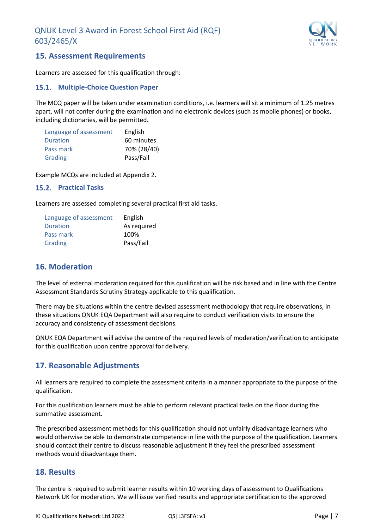

#### <span id="page-7-0"></span>**15. Assessment Requirements**

Learners are assessed for this qualification through:

#### <span id="page-7-1"></span>**Multiple-Choice Question Paper**

The MCQ paper will be taken under examination conditions, i.e. learners will sit a minimum of 1.25 metres apart, will not confer during the examination and no electronic devices (such as mobile phones) or books, including dictionaries, will be permitted.

| Language of assessment | English     |
|------------------------|-------------|
| Duration               | 60 minutes  |
| Pass mark              | 70% (28/40) |
| Grading                | Pass/Fail   |

Example MCQs are included at Appendix 2.

#### <span id="page-7-2"></span>**Practical Tasks**

Learners are assessed completing several practical first aid tasks.

| Language of assessment | English     |
|------------------------|-------------|
| Duration               | As required |
| Pass mark              | 100%        |
| Grading                | Pass/Fail   |

#### <span id="page-7-3"></span>**16. Moderation**

The level of external moderation required for this qualification will be risk based and in line with the Centre Assessment Standards Scrutiny Strategy applicable to this qualification.

There may be situations within the centre devised assessment methodology that require observations, in these situations QNUK EQA Department will also require to conduct verification visits to ensure the accuracy and consistency of assessment decisions.

QNUK EQA Department will advise the centre of the required levels of moderation/verification to anticipate for this qualification upon centre approval for delivery.

## <span id="page-7-4"></span>**17. Reasonable Adjustments**

All learners are required to complete the assessment criteria in a manner appropriate to the purpose of the qualification.

For this qualification learners must be able to perform relevant practical tasks on the floor during the summative assessment.

The prescribed assessment methods for this qualification should not unfairly disadvantage learners who would otherwise be able to demonstrate competence in line with the purpose of the qualification. Learners should contact their centre to discuss reasonable adjustment if they feel the prescribed assessment methods would disadvantage them.

#### <span id="page-7-5"></span>**18. Results**

The centre is required to submit learner results within 10 working days of assessment to Qualifications Network UK for moderation. We will issue verified results and appropriate certification to the approved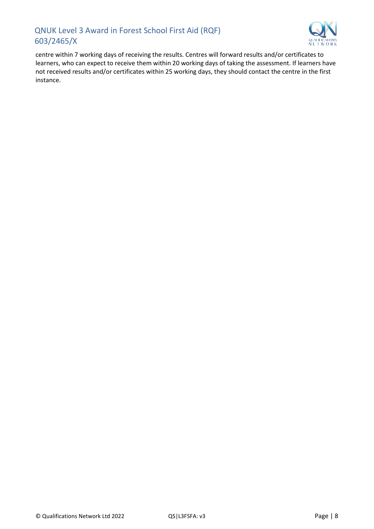

centre within 7 working days of receiving the results. Centres will forward results and/or certificates to learners, who can expect to receive them within 20 working days of taking the assessment. If learners have not received results and/or certificates within 25 working days, they should contact the centre in the first instance.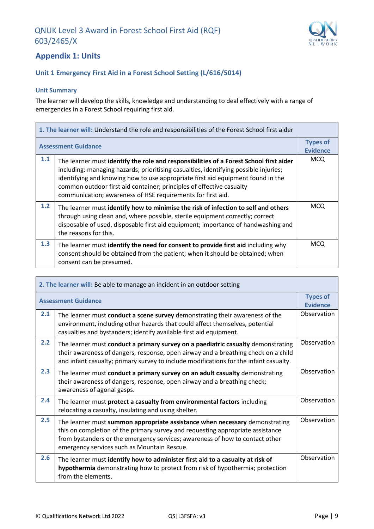

## <span id="page-9-0"></span>**Appendix 1: Units**

#### **Unit 1 Emergency First Aid in a Forest School Setting (L/616/5014)**

#### **Unit Summary**

The learner will develop the skills, knowledge and understanding to deal effectively with a range of emergencies in a Forest School requiring first aid.

| 1. The learner will: Understand the role and responsibilities of the Forest School first aider |                                                                                                                                                                                                                                                                                                                                                                                                          |                                    |
|------------------------------------------------------------------------------------------------|----------------------------------------------------------------------------------------------------------------------------------------------------------------------------------------------------------------------------------------------------------------------------------------------------------------------------------------------------------------------------------------------------------|------------------------------------|
|                                                                                                | <b>Assessment Guidance</b>                                                                                                                                                                                                                                                                                                                                                                               | <b>Types of</b><br><b>Evidence</b> |
| 1.1                                                                                            | The learner must identify the role and responsibilities of a Forest School first aider<br>including: managing hazards; prioritising casualties, identifying possible injuries;<br>identifying and knowing how to use appropriate first aid equipment found in the<br>common outdoor first aid container; principles of effective casualty<br>communication; awareness of HSE requirements for first aid. | <b>MCQ</b>                         |
| 1.2                                                                                            | The learner must identify how to minimise the risk of infection to self and others<br>through using clean and, where possible, sterile equipment correctly; correct<br>disposable of used, disposable first aid equipment; importance of handwashing and<br>the reasons for this.                                                                                                                        | <b>MCQ</b>                         |
| 1.3                                                                                            | The learner must identify the need for consent to provide first aid including why<br>consent should be obtained from the patient; when it should be obtained; when<br>consent can be presumed.                                                                                                                                                                                                           | <b>MCQ</b>                         |

| 2. The learner will: Be able to manage an incident in an outdoor setting |                                                                                                                                                                                                                                                                                              |                                    |
|--------------------------------------------------------------------------|----------------------------------------------------------------------------------------------------------------------------------------------------------------------------------------------------------------------------------------------------------------------------------------------|------------------------------------|
|                                                                          | <b>Assessment Guidance</b>                                                                                                                                                                                                                                                                   | <b>Types of</b><br><b>Evidence</b> |
| 2.1                                                                      | The learner must conduct a scene survey demonstrating their awareness of the<br>environment, including other hazards that could affect themselves, potential<br>casualties and bystanders; identify available first aid equipment.                                                           | Observation                        |
| 2.2                                                                      | The learner must conduct a primary survey on a paediatric casualty demonstrating<br>their awareness of dangers, response, open airway and a breathing check on a child<br>and infant casualty; primary survey to include modifications for the infant casualty.                              | Observation                        |
| 2.3                                                                      | The learner must conduct a primary survey on an adult casualty demonstrating<br>their awareness of dangers, response, open airway and a breathing check;<br>awareness of agonal gasps.                                                                                                       | Observation                        |
| 2.4                                                                      | The learner must protect a casualty from environmental factors including<br>relocating a casualty, insulating and using shelter.                                                                                                                                                             | Observation                        |
| 2.5                                                                      | The learner must summon appropriate assistance when necessary demonstrating<br>this on completion of the primary survey and requesting appropriate assistance<br>from bystanders or the emergency services; awareness of how to contact other<br>emergency services such as Mountain Rescue. | Observation                        |
| 2.6                                                                      | The learner must identify how to administer first aid to a casualty at risk of<br>hypothermia demonstrating how to protect from risk of hypothermia; protection<br>from the elements.                                                                                                        | Observation                        |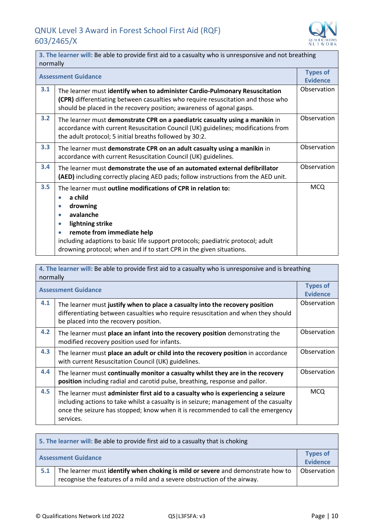

|     | 3. The learner will: Be able to provide first aid to a casualty who is unresponsive and not breathing<br>normally                                                                                                                                                                                                                                                               |                                    |  |
|-----|---------------------------------------------------------------------------------------------------------------------------------------------------------------------------------------------------------------------------------------------------------------------------------------------------------------------------------------------------------------------------------|------------------------------------|--|
|     | <b>Assessment Guidance</b>                                                                                                                                                                                                                                                                                                                                                      | <b>Types of</b><br><b>Evidence</b> |  |
| 3.1 | The learner must identify when to administer Cardio-Pulmonary Resuscitation<br>(CPR) differentiating between casualties who require resuscitation and those who<br>should be placed in the recovery position; awareness of agonal gasps.                                                                                                                                        | Observation                        |  |
| 3.2 | The learner must demonstrate CPR on a paediatric casualty using a manikin in<br>accordance with current Resuscitation Council (UK) guidelines; modifications from<br>the adult protocol; 5 initial breaths followed by 30:2.                                                                                                                                                    | Observation                        |  |
| 3.3 | The learner must demonstrate CPR on an adult casualty using a manikin in<br>accordance with current Resuscitation Council (UK) guidelines.                                                                                                                                                                                                                                      | Observation                        |  |
| 3.4 | The learner must demonstrate the use of an automated external defibrillator<br>(AED) including correctly placing AED pads; follow instructions from the AED unit.                                                                                                                                                                                                               | Observation                        |  |
| 3.5 | The learner must outline modifications of CPR in relation to:<br>a child<br>$\bullet$<br>drowning<br>$\bullet$<br>avalanche<br>$\bullet$<br>lightning strike<br>$\bullet$<br>remote from immediate help<br>$\bullet$<br>including adaptions to basic life support protocols; paediatric protocol; adult<br>drowning protocol; when and if to start CPR in the given situations. | <b>MCQ</b>                         |  |

| 4. The learner will: Be able to provide first aid to a casualty who is unresponsive and is breathing<br>normally |                                                                                                                                                                                                                                                                            |                                    |
|------------------------------------------------------------------------------------------------------------------|----------------------------------------------------------------------------------------------------------------------------------------------------------------------------------------------------------------------------------------------------------------------------|------------------------------------|
|                                                                                                                  | <b>Assessment Guidance</b>                                                                                                                                                                                                                                                 | <b>Types of</b><br><b>Evidence</b> |
| 4.1                                                                                                              | The learner must justify when to place a casualty into the recovery position<br>differentiating between casualties who require resuscitation and when they should<br>be placed into the recovery position.                                                                 | Observation                        |
| 4.2                                                                                                              | The learner must place an infant into the recovery position demonstrating the<br>modified recovery position used for infants.                                                                                                                                              | Observation                        |
| 4.3                                                                                                              | The learner must place an adult or child into the recovery position in accordance<br>with current Resuscitation Council (UK) guidelines.                                                                                                                                   | Observation                        |
| 4.4                                                                                                              | The learner must continually monitor a casualty whilst they are in the recovery<br>position including radial and carotid pulse, breathing, response and pallor.                                                                                                            | Observation                        |
| 4.5                                                                                                              | The learner must administer first aid to a casualty who is experiencing a seizure<br>including actions to take whilst a casualty is in seizure; management of the casualty<br>once the seizure has stopped; know when it is recommended to call the emergency<br>services. | <b>MCQ</b>                         |

| 5. The learner will: Be able to provide first aid to a casualty that is choking |                                                                                                                                                             |                             |
|---------------------------------------------------------------------------------|-------------------------------------------------------------------------------------------------------------------------------------------------------------|-----------------------------|
| <b>Assessment Guidance</b>                                                      |                                                                                                                                                             | <b>Types of</b><br>Evidence |
| 5.1                                                                             | The learner must identify when choking is mild or severe and demonstrate how to<br>recognise the features of a mild and a severe obstruction of the airway. | Observation                 |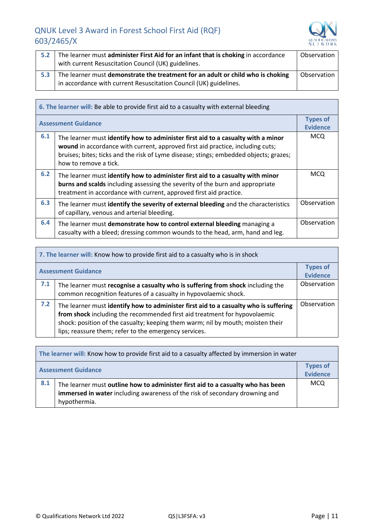

| 5.2 | The learner must administer First Aid for an infant that is choking in accordance<br>with current Resuscitation Council (UK) guidelines.             | Observation |
|-----|------------------------------------------------------------------------------------------------------------------------------------------------------|-------------|
| 5.3 | The learner must demonstrate the treatment for an adult or child who is choking<br>in accordance with current Resuscitation Council (UK) guidelines. | Observation |

| 6. The learner will: Be able to provide first aid to a casualty with external bleeding |                                                                                                                                                                                                                                                                                      |                                    |
|----------------------------------------------------------------------------------------|--------------------------------------------------------------------------------------------------------------------------------------------------------------------------------------------------------------------------------------------------------------------------------------|------------------------------------|
| <b>Assessment Guidance</b>                                                             |                                                                                                                                                                                                                                                                                      | <b>Types of</b><br><b>Evidence</b> |
| 6.1                                                                                    | The learner must identify how to administer first aid to a casualty with a minor<br>wound in accordance with current, approved first aid practice, including cuts;<br>bruises; bites; ticks and the risk of Lyme disease; stings; embedded objects; grazes;<br>how to remove a tick. | <b>MCQ</b>                         |
| 6.2                                                                                    | The learner must identify how to administer first aid to a casualty with minor<br>burns and scalds including assessing the severity of the burn and appropriate<br>treatment in accordance with current, approved first aid practice.                                                | <b>MCQ</b>                         |
| 6.3                                                                                    | The learner must identify the severity of external bleeding and the characteristics<br>of capillary, venous and arterial bleeding.                                                                                                                                                   | Observation                        |
| 6.4                                                                                    | The learner must demonstrate how to control external bleeding managing a<br>casualty with a bleed; dressing common wounds to the head, arm, hand and leg.                                                                                                                            | Observation                        |

| 7. The learner will: Know how to provide first aid to a casualty who is in shock |                                                                                                                                                                                                                                                                                                               |                                    |
|----------------------------------------------------------------------------------|---------------------------------------------------------------------------------------------------------------------------------------------------------------------------------------------------------------------------------------------------------------------------------------------------------------|------------------------------------|
|                                                                                  | <b>Assessment Guidance</b>                                                                                                                                                                                                                                                                                    | <b>Types of</b><br><b>Evidence</b> |
| 7.1                                                                              | The learner must recognise a casualty who is suffering from shock including the<br>common recognition features of a casualty in hypovolaemic shock.                                                                                                                                                           | Observation                        |
| 7.2                                                                              | The learner must identify how to administer first aid to a casualty who is suffering<br>from shock including the recommended first aid treatment for hypovolaemic<br>shock: position of the casualty; keeping them warm; nil by mouth; moisten their<br>lips; reassure them; refer to the emergency services. | Observation                        |

| The learner will: Know how to provide first aid to a casualty affected by immersion in water |                                                                                                                                                                                |                             |
|----------------------------------------------------------------------------------------------|--------------------------------------------------------------------------------------------------------------------------------------------------------------------------------|-----------------------------|
|                                                                                              | <b>Assessment Guidance</b>                                                                                                                                                     | <b>Types of</b><br>Evidence |
| 8.1                                                                                          | The learner must outline how to administer first aid to a casualty who has been<br>immersed in water including awareness of the risk of secondary drowning and<br>hypothermia. | <b>MCQ</b>                  |

 $\mathbf{r}$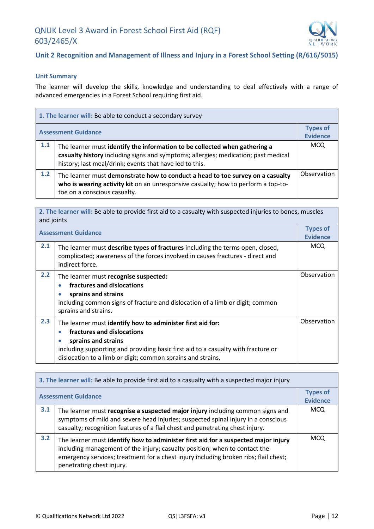

#### **Unit 2 Recognition and Management of Illness and Injury in a Forest School Setting (R/616/5015)**

#### **Unit Summary**

The learner will develop the skills, knowledge and understanding to deal effectively with a range of advanced emergencies in a Forest School requiring first aid.

| 1. The learner will: Be able to conduct a secondary survey |                                                                                                                                                                                                                             |                                    |
|------------------------------------------------------------|-----------------------------------------------------------------------------------------------------------------------------------------------------------------------------------------------------------------------------|------------------------------------|
|                                                            | <b>Assessment Guidance</b>                                                                                                                                                                                                  | <b>Types of</b><br><b>Evidence</b> |
| 1.1                                                        | The learner must identify the information to be collected when gathering a<br>casualty history including signs and symptoms; allergies; medication; past medical<br>history; last meal/drink; events that have led to this. | <b>MCQ</b>                         |
| 1.2                                                        | The learner must demonstrate how to conduct a head to toe survey on a casualty<br>who is wearing activity kit on an unresponsive casualty; how to perform a top-to-<br>toe on a conscious casualty.                         | Observation                        |

| 2. The learner will: Be able to provide first aid to a casualty with suspected injuries to bones, muscles<br>and joints |                                                                                                                                                                                                                                                                                               |                                    |
|-------------------------------------------------------------------------------------------------------------------------|-----------------------------------------------------------------------------------------------------------------------------------------------------------------------------------------------------------------------------------------------------------------------------------------------|------------------------------------|
| <b>Assessment Guidance</b>                                                                                              |                                                                                                                                                                                                                                                                                               | <b>Types of</b><br><b>Evidence</b> |
| 2.1                                                                                                                     | The learner must describe types of fractures including the terms open, closed,<br>complicated; awareness of the forces involved in causes fractures - direct and<br>indirect force.                                                                                                           | <b>MCQ</b>                         |
| 2.2                                                                                                                     | The learner must recognise suspected:<br>fractures and dislocations<br>$\bullet$<br>sprains and strains<br>$\bullet$<br>including common signs of fracture and dislocation of a limb or digit; common<br>sprains and strains.                                                                 | Observation                        |
| 2.3                                                                                                                     | The learner must identify how to administer first aid for:<br>fractures and dislocations<br>$\bullet$<br>sprains and strains<br>$\bullet$<br>including supporting and providing basic first aid to a casualty with fracture or<br>dislocation to a limb or digit; common sprains and strains. | Observation                        |

| 3. The learner will: Be able to provide first aid to a casualty with a suspected major injury |                                                                                                                                                                                                                                                                                       |                                    |
|-----------------------------------------------------------------------------------------------|---------------------------------------------------------------------------------------------------------------------------------------------------------------------------------------------------------------------------------------------------------------------------------------|------------------------------------|
| <b>Assessment Guidance</b>                                                                    |                                                                                                                                                                                                                                                                                       | <b>Types of</b><br><b>Evidence</b> |
| 3.1                                                                                           | The learner must recognise a suspected major injury including common signs and<br>symptoms of mild and severe head injuries; suspected spinal injury in a conscious<br>casualty; recognition features of a flail chest and penetrating chest injury.                                  | <b>MCQ</b>                         |
| 3.2                                                                                           | The learner must identify how to administer first aid for a suspected major injury<br>including management of the injury; casualty position; when to contact the<br>emergency services; treatment for a chest injury including broken ribs; flail chest;<br>penetrating chest injury. | <b>MCO</b>                         |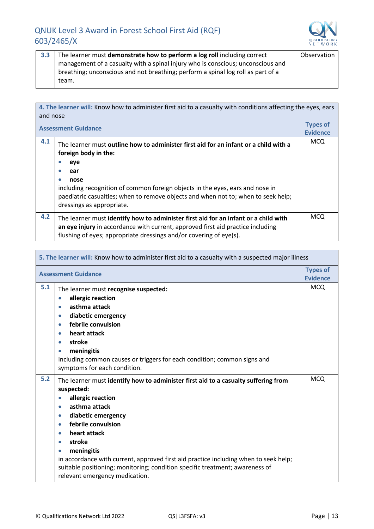

٦

**3.3** The learner must **demonstrate how to perform a log roll** including correct management of a casualty with a spinal injury who is conscious; unconscious and breathing; unconscious and not breathing; perform a spinal log roll as part of a team. Observation

| 4. The learner will: Know how to administer first aid to a casualty with conditions affecting the eyes, ears<br>and nose |                                                                                                                                                                                                                                              |                                    |
|--------------------------------------------------------------------------------------------------------------------------|----------------------------------------------------------------------------------------------------------------------------------------------------------------------------------------------------------------------------------------------|------------------------------------|
| <b>Assessment Guidance</b>                                                                                               |                                                                                                                                                                                                                                              | <b>Types of</b><br><b>Evidence</b> |
| 4.1                                                                                                                      | The learner must outline how to administer first aid for an infant or a child with a<br>foreign body in the:                                                                                                                                 | <b>MCQ</b>                         |
|                                                                                                                          | eye<br>ear                                                                                                                                                                                                                                   |                                    |
|                                                                                                                          | nose<br>$\bullet$<br>including recognition of common foreign objects in the eyes, ears and nose in<br>paediatric casualties; when to remove objects and when not to; when to seek help;<br>dressings as appropriate.                         |                                    |
| 4.2                                                                                                                      | The learner must identify how to administer first aid for an infant or a child with<br>an eye injury in accordance with current, approved first aid practice including<br>flushing of eyes; appropriate dressings and/or covering of eye(s). | <b>MCQ</b>                         |

| 5. The learner will: Know how to administer first aid to a casualty with a suspected major illness |                                                                                                                                                                                                                                                                                                                                                                                                                                                                                                                    |                                    |
|----------------------------------------------------------------------------------------------------|--------------------------------------------------------------------------------------------------------------------------------------------------------------------------------------------------------------------------------------------------------------------------------------------------------------------------------------------------------------------------------------------------------------------------------------------------------------------------------------------------------------------|------------------------------------|
|                                                                                                    | <b>Assessment Guidance</b>                                                                                                                                                                                                                                                                                                                                                                                                                                                                                         | <b>Types of</b><br><b>Evidence</b> |
| 5.1                                                                                                | The learner must recognise suspected:<br>allergic reaction<br>$\bullet$<br>asthma attack<br>$\bullet$<br>diabetic emergency<br>$\bullet$<br>febrile convulsion<br>$\bullet$<br>heart attack<br>$\bullet$<br>stroke<br>$\bullet$<br>meningitis<br>$\bullet$<br>including common causes or triggers for each condition; common signs and<br>symptoms for each condition.                                                                                                                                             | <b>MCQ</b>                         |
| 5.2                                                                                                | The learner must identify how to administer first aid to a casualty suffering from<br>suspected:<br>allergic reaction<br>$\bullet$<br>asthma attack<br>$\bullet$<br>diabetic emergency<br>$\bullet$<br>febrile convulsion<br>$\bullet$<br>heart attack<br>$\bullet$<br>stroke<br>meningitis<br>$\bullet$<br>in accordance with current, approved first aid practice including when to seek help;<br>suitable positioning; monitoring; condition specific treatment; awareness of<br>relevant emergency medication. | <b>MCQ</b>                         |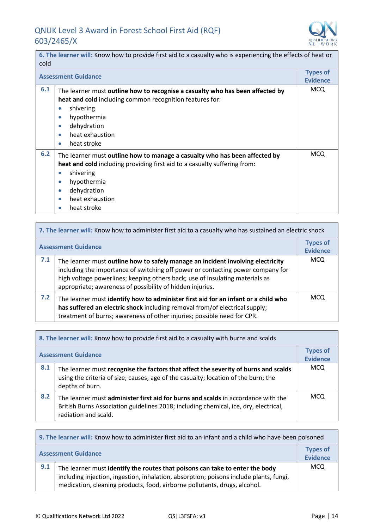

÷,

 $\overline{\phantom{a}}$ 

| 6. The learner will: Know how to provide first aid to a casualty who is experiencing the effects of heat or<br>cold |                                                                                                                                                                                                                                                                                               |            |
|---------------------------------------------------------------------------------------------------------------------|-----------------------------------------------------------------------------------------------------------------------------------------------------------------------------------------------------------------------------------------------------------------------------------------------|------------|
|                                                                                                                     | <b>Assessment Guidance</b>                                                                                                                                                                                                                                                                    |            |
| 6.1                                                                                                                 | The learner must outline how to recognise a casualty who has been affected by<br>heat and cold including common recognition features for:<br>shivering<br>$\bullet$<br>hypothermia<br>$\bullet$<br>dehydration<br>$\bullet$<br>heat exhaustion<br>$\bullet$<br>heat stroke<br>$\bullet$       | <b>MCQ</b> |
| 6.2                                                                                                                 | The learner must outline how to manage a casualty who has been affected by<br>heat and cold including providing first aid to a casualty suffering from:<br>shivering<br>$\bullet$<br>hypothermia<br>$\bullet$<br>dehydration<br>$\bullet$<br>heat exhaustion<br>$\bullet$<br>heat stroke<br>0 | <b>MCQ</b> |

|                            | 7. The learner will: Know how to administer first aid to a casualty who has sustained an electric shock                                                                                                                                                                                                         |                                    |
|----------------------------|-----------------------------------------------------------------------------------------------------------------------------------------------------------------------------------------------------------------------------------------------------------------------------------------------------------------|------------------------------------|
| <b>Assessment Guidance</b> |                                                                                                                                                                                                                                                                                                                 | <b>Types of</b><br><b>Evidence</b> |
| 7.1                        | The learner must outline how to safely manage an incident involving electricity<br>including the importance of switching off power or contacting power company for<br>high voltage powerlines; keeping others back; use of insulating materials as<br>appropriate; awareness of possibility of hidden injuries. | <b>MCQ</b>                         |
| 7.2                        | The learner must identify how to administer first aid for an infant or a child who<br>has suffered an electric shock including removal from/of electrical supply;<br>treatment of burns; awareness of other injuries; possible need for CPR.                                                                    | <b>MCQ</b>                         |

| 8. The learner will: Know how to provide first aid to a casualty with burns and scalds |                                                                                                                                                                                                   |                                    |
|----------------------------------------------------------------------------------------|---------------------------------------------------------------------------------------------------------------------------------------------------------------------------------------------------|------------------------------------|
|                                                                                        | <b>Assessment Guidance</b>                                                                                                                                                                        | <b>Types of</b><br><b>Evidence</b> |
| 8.1                                                                                    | The learner must recognise the factors that affect the severity of burns and scalds<br>using the criteria of size; causes; age of the casualty; location of the burn; the<br>depths of burn.      | MCQ                                |
| 8.2                                                                                    | The learner must administer first aid for burns and scalds in accordance with the<br>British Burns Association guidelines 2018; including chemical, ice, dry, electrical,<br>radiation and scald. | <b>MCQ</b>                         |

| 9. The learner will: Know how to administer first aid to an infant and a child who have been poisoned |                                                                                                                                                                                                                                                     |                                    |
|-------------------------------------------------------------------------------------------------------|-----------------------------------------------------------------------------------------------------------------------------------------------------------------------------------------------------------------------------------------------------|------------------------------------|
| <b>Assessment Guidance</b>                                                                            |                                                                                                                                                                                                                                                     | <b>Types of</b><br><b>Evidence</b> |
| 9.1                                                                                                   | The learner must identify the routes that poisons can take to enter the body<br>including injection, ingestion, inhalation, absorption; poisons include plants, fungi,<br>medication, cleaning products, food, airborne pollutants, drugs, alcohol. | <b>MCQ</b>                         |

 $\mathbf{r}$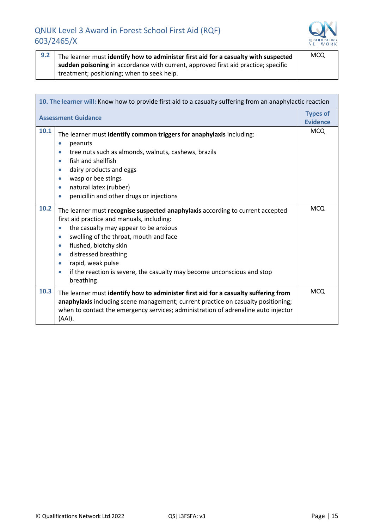

| 9.2 | The learner must identify how to administer first aid for a casualty with suspected | <b>MCQ</b> |
|-----|-------------------------------------------------------------------------------------|------------|
|     | sudden poisoning in accordance with current, approved first aid practice; specific  |            |
|     | treatment; positioning; when to seek help.                                          |            |

| 10. The learner will: Know how to provide first aid to a casualty suffering from an anaphylactic reaction |                                                                                                                                                                                                                                                                                                                                                                                                                                                             |            |  |  |
|-----------------------------------------------------------------------------------------------------------|-------------------------------------------------------------------------------------------------------------------------------------------------------------------------------------------------------------------------------------------------------------------------------------------------------------------------------------------------------------------------------------------------------------------------------------------------------------|------------|--|--|
| <b>Types of</b><br><b>Assessment Guidance</b><br><b>Evidence</b>                                          |                                                                                                                                                                                                                                                                                                                                                                                                                                                             |            |  |  |
| 10.1                                                                                                      | The learner must identify common triggers for anaphylaxis including:<br>peanuts<br>$\bullet$<br>tree nuts such as almonds, walnuts, cashews, brazils<br>$\bullet$<br>fish and shellfish<br>$\bullet$<br>dairy products and eggs<br>$\bullet$<br>wasp or bee stings<br>$\bullet$<br>natural latex (rubber)<br>$\bullet$<br>penicillin and other drugs or injections<br>$\bullet$                                                                             | <b>MCQ</b> |  |  |
| 10.2                                                                                                      | The learner must recognise suspected anaphylaxis according to current accepted<br>first aid practice and manuals, including:<br>the casualty may appear to be anxious<br>$\bullet$<br>swelling of the throat, mouth and face<br>$\bullet$<br>flushed, blotchy skin<br>$\bullet$<br>distressed breathing<br>$\bullet$<br>rapid, weak pulse<br>$\bullet$<br>if the reaction is severe, the casualty may become unconscious and stop<br>$\bullet$<br>breathing | <b>MCQ</b> |  |  |
| 10.3                                                                                                      | The learner must identify how to administer first aid for a casualty suffering from<br>anaphylaxis including scene management; current practice on casualty positioning;<br>when to contact the emergency services; administration of adrenaline auto injector<br>(AAI).                                                                                                                                                                                    | <b>MCQ</b> |  |  |